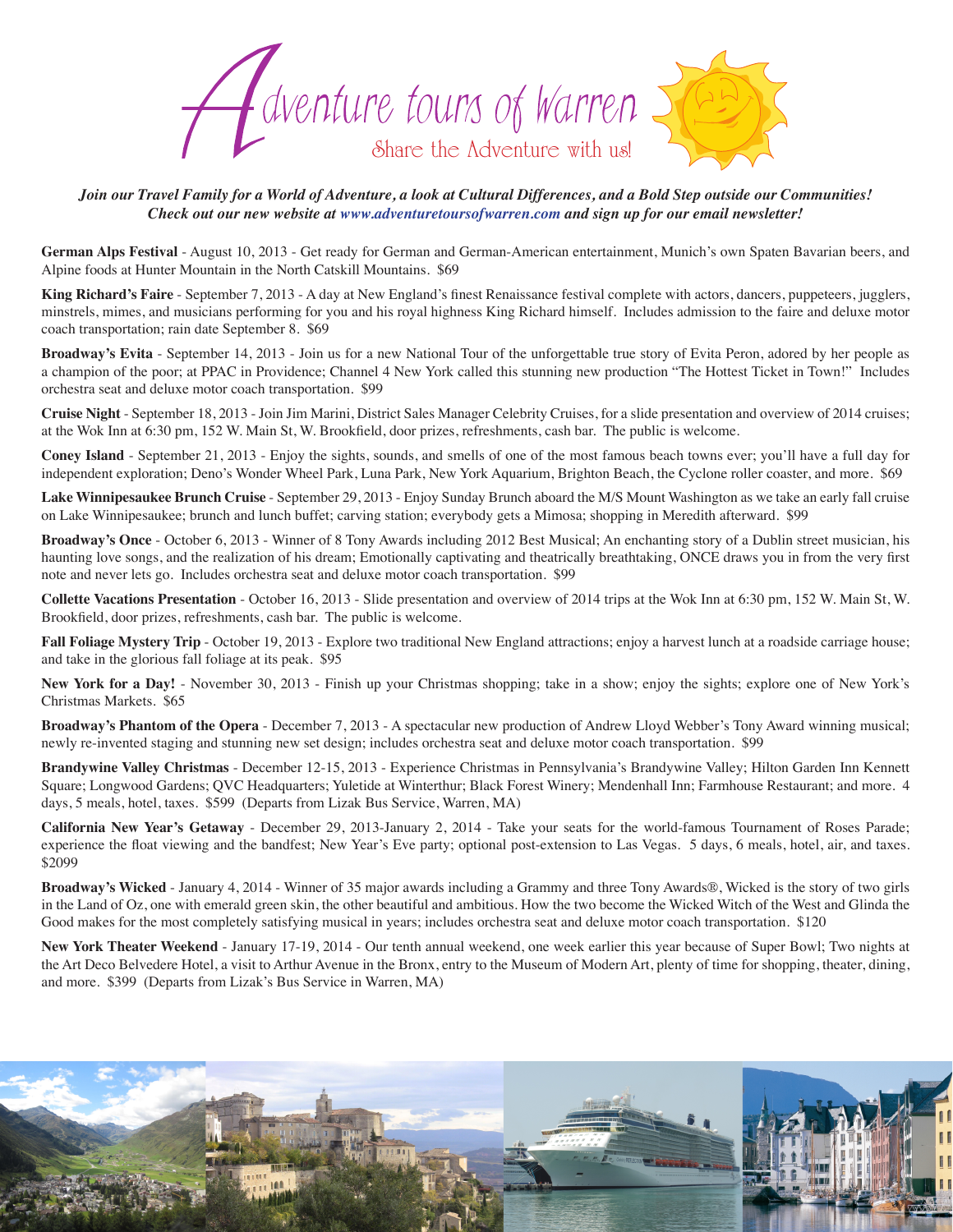

*Join our Travel Family for a World of Adventure, a look at Cultural Differences, and a Bold Step outside our Communities! Check out our new website at www.adventuretoursofwarren.com and sign up for our email newsletter!* 

**German Alps Festival** - August 10, 2013 - Get ready for German and German-American entertainment, Munich's own Spaten Bavarian beers, and Alpine foods at Hunter Mountain in the North Catskill Mountains. \$69

**King Richard's Faire** - September 7, 2013 - A day at New England's finest Renaissance festival complete with actors, dancers, puppeteers, jugglers, minstrels, mimes, and musicians performing for you and his royal highness King Richard himself. Includes admission to the faire and deluxe motor coach transportation; rain date September 8. \$69

**Broadway's Evita** - September 14, 2013 - Join us for a new National Tour of the unforgettable true story of Evita Peron, adored by her people as a champion of the poor; at PPAC in Providence; Channel 4 New York called this stunning new production "The Hottest Ticket in Town!" Includes orchestra seat and deluxe motor coach transportation. \$99

**Cruise Night** - September 18, 2013 - Join Jim Marini, District Sales Manager Celebrity Cruises, for a slide presentation and overview of 2014 cruises; at the Wok Inn at 6:30 pm, 152 W. Main St, W. Brookfield, door prizes, refreshments, cash bar. The public is welcome.

**Coney Island** - September 21, 2013 - Enjoy the sights, sounds, and smells of one of the most famous beach towns ever; you'll have a full day for independent exploration; Deno's Wonder Wheel Park, Luna Park, New York Aquarium, Brighton Beach, the Cyclone roller coaster, and more. \$69

**Lake Winnipesaukee Brunch Cruise** - September 29, 2013 - Enjoy Sunday Brunch aboard the M/S Mount Washington as we take an early fall cruise on Lake Winnipesaukee; brunch and lunch buffet; carving station; everybody gets a Mimosa; shopping in Meredith afterward. \$99

**Broadway's Once** - October 6, 2013 - Winner of 8 Tony Awards including 2012 Best Musical; An enchanting story of a Dublin street musician, his haunting love songs, and the realization of his dream; Emotionally captivating and theatrically breathtaking, ONCE draws you in from the very first note and never lets go. Includes orchestra seat and deluxe motor coach transportation. \$99

**Collette Vacations Presentation** - October 16, 2013 - Slide presentation and overview of 2014 trips at the Wok Inn at 6:30 pm, 152 W. Main St, W. Brookfield, door prizes, refreshments, cash bar. The public is welcome.

Fall Foliage Mystery Trip - October 19, 2013 - Explore two traditional New England attractions; enjoy a harvest lunch at a roadside carriage house; and take in the glorious fall foliage at its peak. \$95

**New York for a Day!** - November 30, 2013 - Finish up your Christmas shopping; take in a show; enjoy the sights; explore one of New York's Christmas Markets. \$65

**Broadway's Phantom of the Opera** - December 7, 2013 - A spectacular new production of Andrew Lloyd Webber's Tony Award winning musical; newly re-invented staging and stunning new set design; includes orchestra seat and deluxe motor coach transportation. \$99

**Brandywine Valley Christmas** - December 12-15, 2013 - Experience Christmas in Pennsylvania's Brandywine Valley; Hilton Garden Inn Kennett Square; Longwood Gardens; QVC Headquarters; Yuletide at Winterthur; Black Forest Winery; Mendenhall Inn; Farmhouse Restaurant; and more. 4 days, 5 meals, hotel, taxes. \$599 (Departs from Lizak Bus Service, Warren, MA)

**California New Year's Getaway** - December 29, 2013-January 2, 2014 - Take your seats for the world-famous Tournament of Roses Parade; experience the float viewing and the bandfest; New Year's Eve party; optional post-extension to Las Vegas. 5 days, 6 meals, hotel, air, and taxes. \$2099

**Broadway's Wicked** - January 4, 2014 - Winner of 35 major awards including a Grammy and three Tony Awards®, Wicked is the story of two girls in the Land of Oz, one with emerald green skin, the other beautiful and ambitious. How the two become the Wicked Witch of the West and Glinda the Good makes for the most completely satisfying musical in years; includes orchestra seat and deluxe motor coach transportation. \$120

**New York Theater Weekend** - January 17-19, 2014 - Our tenth annual weekend, one week earlier this year because of Super Bowl; Two nights at the Art Deco Belvedere Hotel, a visit to Arthur Avenue in the Bronx, entry to the Museum of Modern Art, plenty of time for shopping, theater, dining, and more. \$399 (Departs from Lizak's Bus Service in Warren, MA)